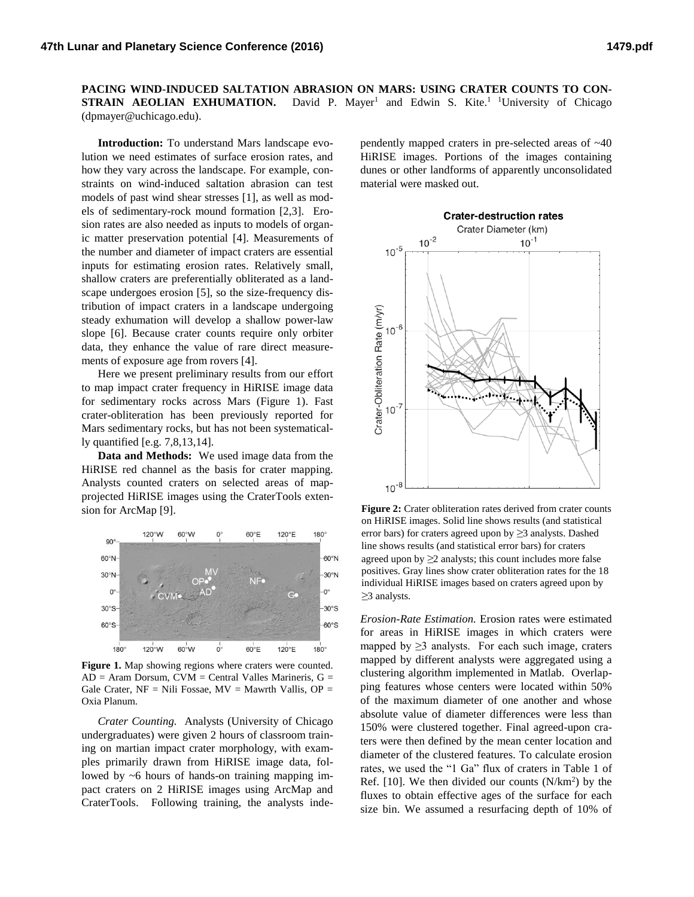**PACING WIND-INDUCED SALTATION ABRASION ON MARS: USING CRATER COUNTS TO CON-STRAIN AEOLIAN EXHUMATION.** David P. Mayer<sup>1</sup> and Edwin S. Kite.<sup>1</sup> <sup>1</sup>University of Chicago (dpmayer@uchicago.edu).

**Introduction:** To understand Mars landscape evolution we need estimates of surface erosion rates, and how they vary across the landscape. For example, constraints on wind-induced saltation abrasion can test models of past wind shear stresses [1], as well as models of sedimentary-rock mound formation [2,3]. Erosion rates are also needed as inputs to models of organic matter preservation potential [4]. Measurements of the number and diameter of impact craters are essential inputs for estimating erosion rates. Relatively small, shallow craters are preferentially obliterated as a landscape undergoes erosion [5], so the size-frequency distribution of impact craters in a landscape undergoing steady exhumation will develop a shallow power-law slope [6]. Because crater counts require only orbiter data, they enhance the value of rare direct measurements of exposure age from rovers [4].

Here we present preliminary results from our effort to map impact crater frequency in HiRISE image data for sedimentary rocks across Mars (Figure 1). Fast crater-obliteration has been previously reported for Mars sedimentary rocks, but has not been systematically quantified [e.g. 7,8,13,14].

**Data and Methods:** We used image data from the HiRISE red channel as the basis for crater mapping. Analysts counted craters on selected areas of mapprojected HiRISE images using the CraterTools extension for ArcMap [9].



**Figure 1.** Map showing regions where craters were counted.  $AD = Aram$  Dorsum,  $CVM = Central$  Valles Marineris,  $G =$ Gale Crater,  $NF = Nili Fossae$ ,  $MV = Mawrth Wallis$ ,  $OP =$ Oxia Planum.

*Crater Counting.* Analysts (University of Chicago undergraduates) were given 2 hours of classroom training on martian impact crater morphology, with examples primarily drawn from HiRISE image data, followed by ~6 hours of hands-on training mapping impact craters on 2 HiRISE images using ArcMap and CraterTools. Following training, the analysts independently mapped craters in pre-selected areas of ~40 HiRISE images. Portions of the images containing dunes or other landforms of apparently unconsolidated material were masked out.



**Figure 2:** Crater obliteration rates derived from crater counts on HiRISE images. Solid line shows results (and statistical error bars) for craters agreed upon by *≥*3 analysts. Dashed line shows results (and statistical error bars) for craters agreed upon by *≥*2 analysts; this count includes more false positives. Gray lines show crater obliteration rates for the 18 individual HiRISE images based on craters agreed upon by *≥*3 analysts.

*Erosion-Rate Estimation.* Erosion rates were estimated for areas in HiRISE images in which craters were mapped by  $\geq$ 3 analysts. For each such image, craters mapped by different analysts were aggregated using a clustering algorithm implemented in Matlab. Overlapping features whose centers were located within 50% of the maximum diameter of one another and whose absolute value of diameter differences were less than 150% were clustered together. Final agreed-upon craters were then defined by the mean center location and diameter of the clustered features. To calculate erosion rates, we used the "1 Ga" flux of craters in Table 1 of Ref.  $[10]$ . We then divided our counts  $(N/km^2)$  by the fluxes to obtain effective ages of the surface for each size bin. We assumed a resurfacing depth of 10% of